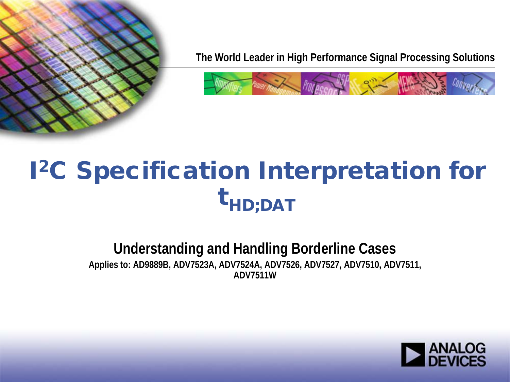

**The World Leader in High Performance Signal Processing Solutions**



# I2C Specification Interpretation for  $\textbf{t}_{\textsf{HD} ; \textsf{DAT}}$

#### **Understanding and Handling Borderline Cases Applies to: AD9889B, ADV7523A, ADV7524A, ADV7526, ADV7527, ADV7510, ADV7511, ADV7511W**

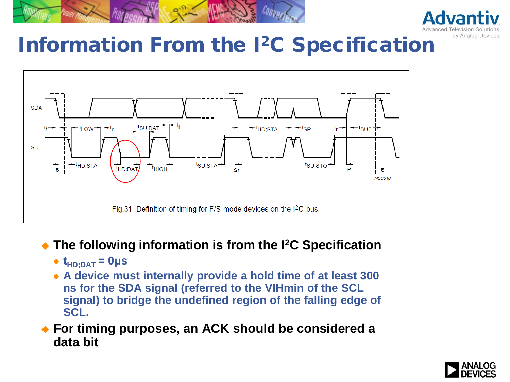



#### Information From the I<sup>2</sup>C Specification



#### **The following information is from the I2C Specification**

- $\bullet$   $t_{HD;DAT} = 0 \mu s$
- **A device must internally provide a hold time of at least 300 ns for the SDA signal (referred to the VIHmin of the SCL signal) to bridge the undefined region of the falling edge of SCL.**
- **For timing purposes, an ACK should be considered a data bit**

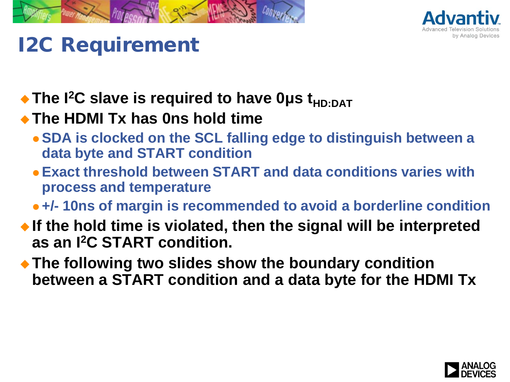



# I2C Requirement

◆ The I<sup>2</sup>C slave is required to have 0µs t<sub>HD:DAT</sub>

#### **The HDMI Tx has 0ns hold time**

- **SDA is clocked on the SCL falling edge to distinguish between a data byte and START condition**
- **Exact threshold between START and data conditions varies with process and temperature**
- **+/- 10ns of margin is recommended to avoid a borderline condition**
- **If the hold time is violated, then the signal will be interpreted as an I2C START condition.**
- **The following two slides show the boundary condition between a START condition and a data byte for the HDMI Tx**

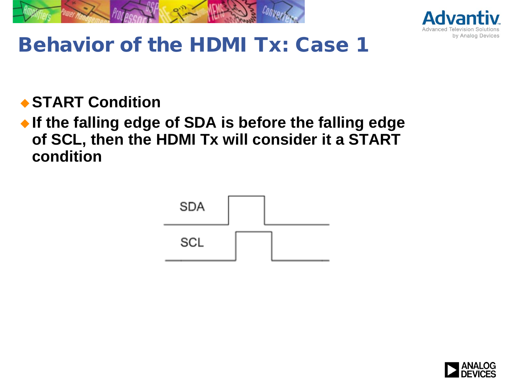



# Behavior of the HDMI Tx: Case 1

**◆ START Condition** 

 **If the falling edge of SDA is before the falling edge of SCL, then the HDMI Tx will consider it a START condition**



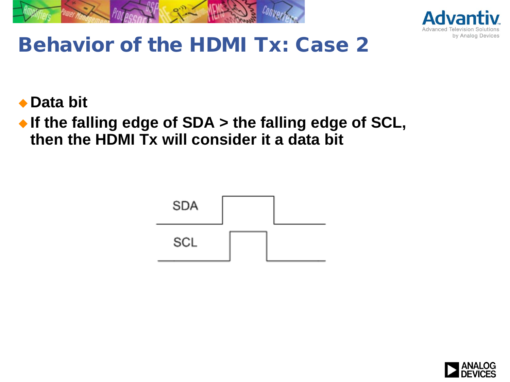



# Behavior of the HDMI Tx: Case 2

◆ Data bit

◆ If the falling edge of SDA > the falling edge of SCL, **then the HDMI Tx will consider it a data bit**



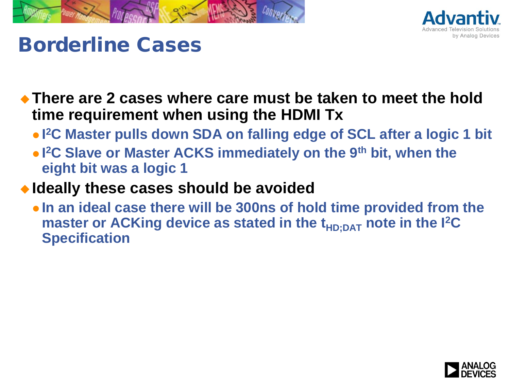



### Borderline Cases

 **There are 2 cases where care must be taken to meet the hold time requirement when using the HDMI Tx**

- **I 2C Master pulls down SDA on falling edge of SCL after a logic 1 bit**
- **I 2C Slave or Master ACKS immediately on the 9th bit, when the eight bit was a logic 1**

#### **Ideally these cases should be avoided**

 **In an ideal case there will be 300ns of hold time provided from the master or ACKing device as stated in the t<sub>HD:DAT</sub> note in the I<sup>2</sup>C Specification**